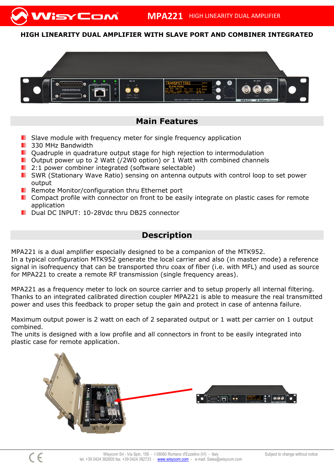## **HIGH LINEARITY DUAL AMPLIFIER WITH SLAVE PORT AND COMBINER INTEGRATED**



## **Main Features**

- **Slave module with frequency meter for single frequency application**
- **330 MHz Bandwidth**

VisyCom

- **D** Quadruple in quadrature output stage for high rejection to intermodulation
- **D** Output power up to 2 Watt (/2W0 option) or 1 Watt with combined channels
- **2:1 power combiner integrated (software selectable)**
- **E** SWR (Stationary Wave Ratio) sensing on antenna outputs with control loop to set power output
- **Remote Monitor/configuration thru Ethernet port**
- **D** Compact profile with connector on front to be easily integrate on plastic cases for remote application
- Dual DC INPUT: 10-28Vdc thru DB25 connector

## **Description**

MPA221 is a dual amplifier especially designed to be a companion of the MTK952.

In a typical configuration MTK952 generate the local carrier and also (in master mode) a reference signal in isofrequency that can be transported thru coax of fiber (i.e. with MFL) and used as source for MPA221 to create a remote RF transmission (single frequency areas).

MPA221 as a frequency meter to lock on source carrier and to setup properly all internal filtering. Thanks to an integrated calibrated direction coupler MPA221 is able to measure the real transmitted power and uses this feedback to proper setup the gain and protect in case of antenna failure.

Maximum output power is 2 watt on each of 2 separated output or 1 watt per carrier on 1 output combined.

The units is designed with a low profile and all connectors in front to be easily integrated into plastic case for remote application.